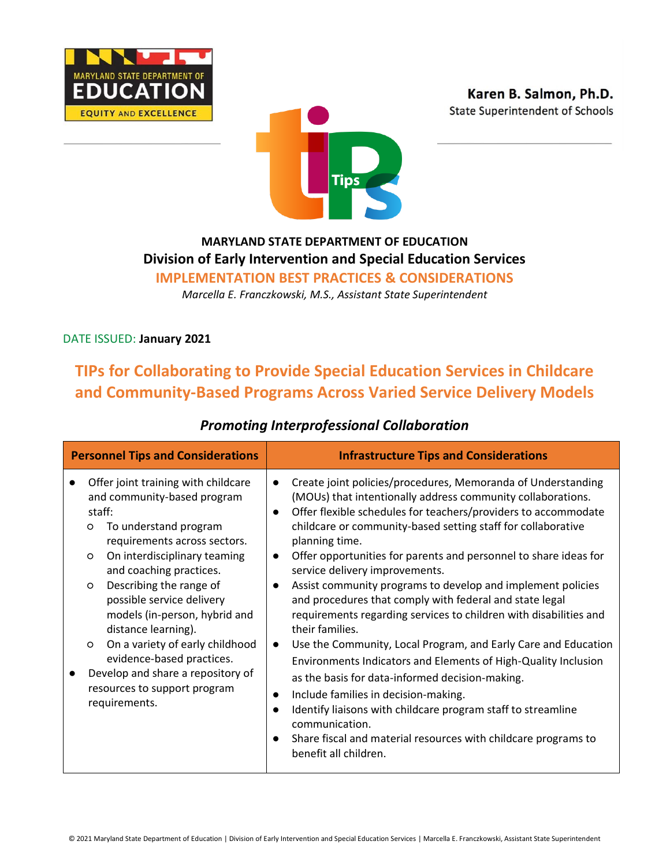



# **MARYLAND STATE DEPARTMENT OF EDUCATION Division of Early Intervention and Special Education Services**

**IMPLEMENTATION BEST PRACTICES & CONSIDERATIONS**

*Marcella E. Franczkowski, M.S., Assistant State Superintendent*

### DATE ISSUED: **January 2021**

# **TIPs for Collaborating to Provide Special Education Services in Childcare and Community-Based Programs Across Varied Service Delivery Models**

| <b>Personnel Tips and Considerations</b>                                                                                                                                                                                                                                                                                                                                                                                                                                                                     | <b>Infrastructure Tips and Considerations</b>                                                                                                                                                                                                                                                                                                                                                                                                                                                                                                                                                                                                                                                                                                                                                                                                                                                                                                                                                                                                 |
|--------------------------------------------------------------------------------------------------------------------------------------------------------------------------------------------------------------------------------------------------------------------------------------------------------------------------------------------------------------------------------------------------------------------------------------------------------------------------------------------------------------|-----------------------------------------------------------------------------------------------------------------------------------------------------------------------------------------------------------------------------------------------------------------------------------------------------------------------------------------------------------------------------------------------------------------------------------------------------------------------------------------------------------------------------------------------------------------------------------------------------------------------------------------------------------------------------------------------------------------------------------------------------------------------------------------------------------------------------------------------------------------------------------------------------------------------------------------------------------------------------------------------------------------------------------------------|
| Offer joint training with childcare<br>and community-based program<br>staff:<br>To understand program<br>O<br>requirements across sectors.<br>On interdisciplinary teaming<br>$\circ$<br>and coaching practices.<br>Describing the range of<br>$\circ$<br>possible service delivery<br>models (in-person, hybrid and<br>distance learning).<br>On a variety of early childhood<br>$\circ$<br>evidence-based practices.<br>Develop and share a repository of<br>resources to support program<br>requirements. | Create joint policies/procedures, Memoranda of Understanding<br>(MOUs) that intentionally address community collaborations.<br>Offer flexible schedules for teachers/providers to accommodate<br>$\bullet$<br>childcare or community-based setting staff for collaborative<br>planning time.<br>Offer opportunities for parents and personnel to share ideas for<br>$\bullet$<br>service delivery improvements.<br>Assist community programs to develop and implement policies<br>and procedures that comply with federal and state legal<br>requirements regarding services to children with disabilities and<br>their families.<br>Use the Community, Local Program, and Early Care and Education<br>Environments Indicators and Elements of High-Quality Inclusion<br>as the basis for data-informed decision-making.<br>Include families in decision-making.<br>Identify liaisons with childcare program staff to streamline<br>communication.<br>Share fiscal and material resources with childcare programs to<br>benefit all children. |

### *Promoting Interprofessional Collaboration*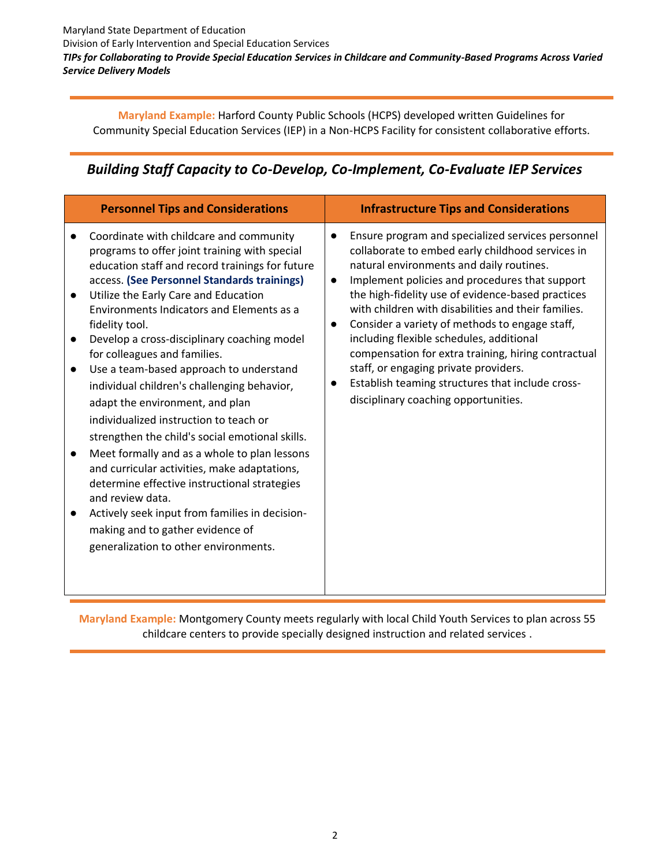**Maryland Example:** Harford County Public Schools (HCPS) developed written Guidelines for Community Special Education Services (IEP) in a Non-HCPS Facility for consistent collaborative efforts.

# *Building Staff Capacity to Co-Develop, Co-Implement, Co-Evaluate IEP Services*

| <b>Personnel Tips and Considerations</b>                                                                                                                                                                                                                                                                                                                                                                                                                                                                                                                                                                                                                                                                                                                                                                                                                                                                      | <b>Infrastructure Tips and Considerations</b>                                                                                                                                                                                                                                                                                                                                                                                                                                                                                                                                                                                       |
|---------------------------------------------------------------------------------------------------------------------------------------------------------------------------------------------------------------------------------------------------------------------------------------------------------------------------------------------------------------------------------------------------------------------------------------------------------------------------------------------------------------------------------------------------------------------------------------------------------------------------------------------------------------------------------------------------------------------------------------------------------------------------------------------------------------------------------------------------------------------------------------------------------------|-------------------------------------------------------------------------------------------------------------------------------------------------------------------------------------------------------------------------------------------------------------------------------------------------------------------------------------------------------------------------------------------------------------------------------------------------------------------------------------------------------------------------------------------------------------------------------------------------------------------------------------|
| Coordinate with childcare and community<br>programs to offer joint training with special<br>education staff and record trainings for future<br>access. (See Personnel Standards trainings)<br>Utilize the Early Care and Education<br>Environments Indicators and Elements as a<br>fidelity tool.<br>Develop a cross-disciplinary coaching model<br>for colleagues and families.<br>Use a team-based approach to understand<br>individual children's challenging behavior,<br>adapt the environment, and plan<br>individualized instruction to teach or<br>strengthen the child's social emotional skills.<br>Meet formally and as a whole to plan lessons<br>and curricular activities, make adaptations,<br>determine effective instructional strategies<br>and review data.<br>Actively seek input from families in decision-<br>making and to gather evidence of<br>generalization to other environments. | Ensure program and specialized services personnel<br>collaborate to embed early childhood services in<br>natural environments and daily routines.<br>Implement policies and procedures that support<br>$\bullet$<br>the high-fidelity use of evidence-based practices<br>with children with disabilities and their families.<br>Consider a variety of methods to engage staff,<br>$\bullet$<br>including flexible schedules, additional<br>compensation for extra training, hiring contractual<br>staff, or engaging private providers.<br>Establish teaming structures that include cross-<br>disciplinary coaching opportunities. |

**Maryland Example:** Montgomery County meets regularly with local Child Youth Services to plan across 55 childcare centers to provide specially designed instruction and related services .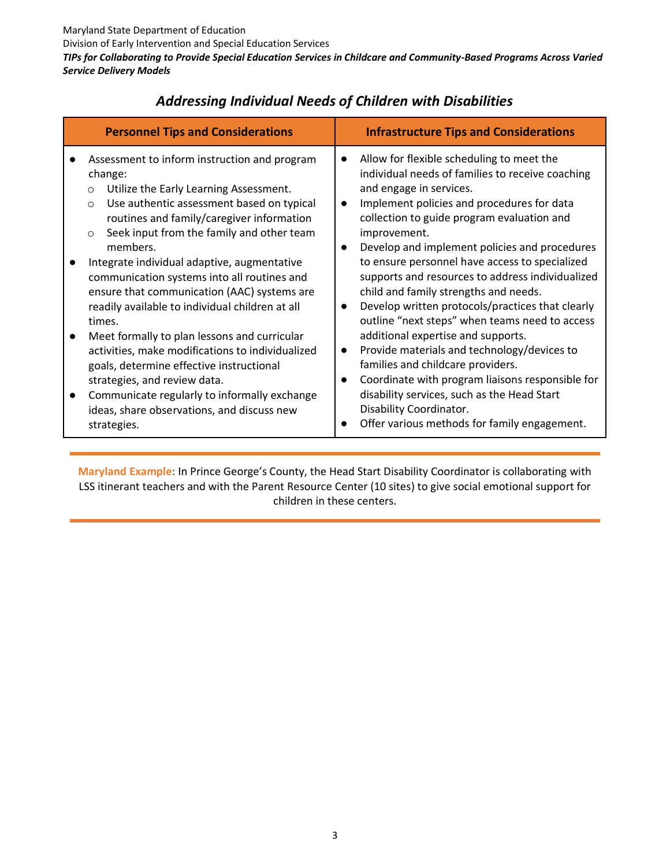| <b>Personnel Tips and Considerations</b>                                                                                                                                                                                                                                                                                                                                                                                                                                                                                                                                                                                                                                                                                                                                                     | <b>Infrastructure Tips and Considerations</b>                                                                                                                                                                                                                                                                                                                                                                                                                                                                                                                                                                                                                                                                                                                                                                                                                                                                                                 |
|----------------------------------------------------------------------------------------------------------------------------------------------------------------------------------------------------------------------------------------------------------------------------------------------------------------------------------------------------------------------------------------------------------------------------------------------------------------------------------------------------------------------------------------------------------------------------------------------------------------------------------------------------------------------------------------------------------------------------------------------------------------------------------------------|-----------------------------------------------------------------------------------------------------------------------------------------------------------------------------------------------------------------------------------------------------------------------------------------------------------------------------------------------------------------------------------------------------------------------------------------------------------------------------------------------------------------------------------------------------------------------------------------------------------------------------------------------------------------------------------------------------------------------------------------------------------------------------------------------------------------------------------------------------------------------------------------------------------------------------------------------|
| Assessment to inform instruction and program<br>change:<br>Utilize the Early Learning Assessment.<br>$\circ$<br>Use authentic assessment based on typical<br>$\circ$<br>routines and family/caregiver information<br>Seek input from the family and other team<br>$\circ$<br>members.<br>Integrate individual adaptive, augmentative<br>communication systems into all routines and<br>ensure that communication (AAC) systems are<br>readily available to individual children at all<br>times.<br>Meet formally to plan lessons and curricular<br>activities, make modifications to individualized<br>goals, determine effective instructional<br>strategies, and review data.<br>Communicate regularly to informally exchange<br>ideas, share observations, and discuss new<br>strategies. | Allow for flexible scheduling to meet the<br>$\bullet$<br>individual needs of families to receive coaching<br>and engage in services.<br>Implement policies and procedures for data<br>$\bullet$<br>collection to guide program evaluation and<br>improvement.<br>Develop and implement policies and procedures<br>$\bullet$<br>to ensure personnel have access to specialized<br>supports and resources to address individualized<br>child and family strengths and needs.<br>Develop written protocols/practices that clearly<br>$\bullet$<br>outline "next steps" when teams need to access<br>additional expertise and supports.<br>Provide materials and technology/devices to<br>$\bullet$<br>families and childcare providers.<br>Coordinate with program liaisons responsible for<br>$\bullet$<br>disability services, such as the Head Start<br>Disability Coordinator.<br>Offer various methods for family engagement.<br>$\bullet$ |

# *Addressing Individual Needs of Children with Disabilities*

**Maryland Example:** In Prince George's County, the Head Start Disability Coordinator is collaborating with LSS itinerant teachers and with the Parent Resource Center (10 sites) to give social emotional support for children in these centers.